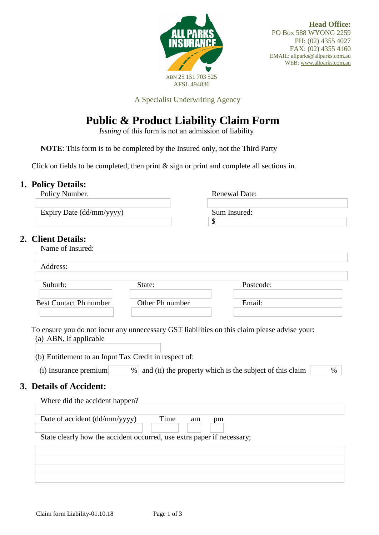

A Specialist Underwriting Agency

# **Public & Product Liability Claim Form**

 *Issuing* of this form is not an admission of liability

**NOTE**: This form is to be completed by the Insured only, not the Third Party

Click on fields to be completed, then print & sign or print and complete all sections in.

## **1. Policy Details:**

|                                                                                  |                                                                        | <b>Renewal Date:</b>                                     |  |
|----------------------------------------------------------------------------------|------------------------------------------------------------------------|----------------------------------------------------------|--|
| Expiry Date (dd/mm/yyyy)                                                         |                                                                        | Sum Insured:<br>\$                                       |  |
| 2. Client Details:<br>Name of Insured:                                           |                                                                        |                                                          |  |
| Address:                                                                         |                                                                        |                                                          |  |
| Suburb:                                                                          | State:                                                                 | Postcode:                                                |  |
| <b>Best Contact Ph number</b>                                                    | Other Ph number                                                        | Email:                                                   |  |
|                                                                                  |                                                                        |                                                          |  |
| $(i)$ Insurance premium                                                          | $\%$                                                                   | and (ii) the property which is the subject of this claim |  |
| Where did the accident happen?                                                   |                                                                        |                                                          |  |
| Date of accident (dd/mm/yyyy)                                                    | Time<br>am                                                             | pm                                                       |  |
|                                                                                  | State clearly how the accident occurred, use extra paper if necessary; |                                                          |  |
| (b) Entitlement to an Input Tax Credit in respect of:<br>3. Details of Accident: |                                                                        |                                                          |  |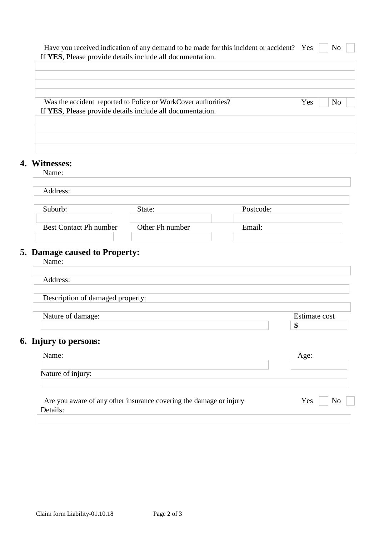|                                  | If YES, Please provide details include all documentation.     |           |               |                |
|----------------------------------|---------------------------------------------------------------|-----------|---------------|----------------|
|                                  |                                                               |           |               |                |
|                                  |                                                               |           |               |                |
|                                  | Was the accident reported to Police or WorkCover authorities? |           | Yes           | N <sub>o</sub> |
|                                  | If YES, Please provide details include all documentation.     |           |               |                |
|                                  |                                                               |           |               |                |
|                                  |                                                               |           |               |                |
|                                  |                                                               |           |               |                |
| 4. Witnesses:<br>Name:           |                                                               |           |               |                |
|                                  |                                                               |           |               |                |
| Address:                         |                                                               |           |               |                |
| Suburb:                          | State:                                                        | Postcode: |               |                |
| <b>Best Contact Ph number</b>    | Other Ph number                                               | Email:    |               |                |
|                                  |                                                               |           |               |                |
| 5. Damage caused to Property:    |                                                               |           |               |                |
| Name:                            |                                                               |           |               |                |
|                                  |                                                               |           |               |                |
| Address:                         |                                                               |           |               |                |
|                                  |                                                               |           |               |                |
| Description of damaged property: |                                                               |           |               |                |
| Nature of damage:                |                                                               |           | Estimate cost |                |
|                                  |                                                               |           | \$            |                |
| 6. Injury to persons:            |                                                               |           |               |                |
| Name:                            |                                                               |           | Age:          |                |
|                                  |                                                               |           |               |                |
| Nature of injury:                |                                                               |           |               |                |